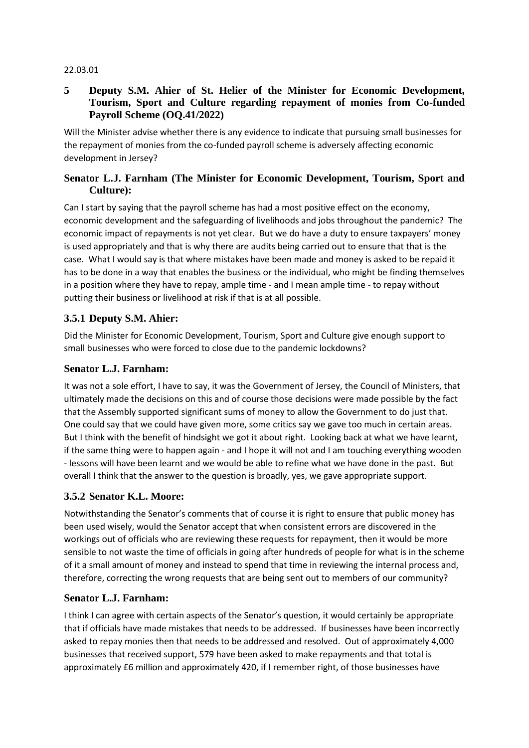#### 22.03.01

### **5 Deputy S.M. Ahier of St. Helier of the Minister for Economic Development, Tourism, Sport and Culture regarding repayment of monies from Co-funded Payroll Scheme (OQ.41/2022)**

Will the Minister advise whether there is any evidence to indicate that pursuing small businesses for the repayment of monies from the co-funded payroll scheme is adversely affecting economic development in Jersey?

### **Senator L.J. Farnham (The Minister for Economic Development, Tourism, Sport and Culture):**

Can I start by saying that the payroll scheme has had a most positive effect on the economy, economic development and the safeguarding of livelihoods and jobs throughout the pandemic? The economic impact of repayments is not yet clear. But we do have a duty to ensure taxpayers' money is used appropriately and that is why there are audits being carried out to ensure that that is the case. What I would say is that where mistakes have been made and money is asked to be repaid it has to be done in a way that enables the business or the individual, who might be finding themselves in a position where they have to repay, ample time - and I mean ample time - to repay without putting their business or livelihood at risk if that is at all possible.

# **3.5.1 Deputy S.M. Ahier:**

Did the Minister for Economic Development, Tourism, Sport and Culture give enough support to small businesses who were forced to close due to the pandemic lockdowns?

#### **Senator L.J. Farnham:**

It was not a sole effort, I have to say, it was the Government of Jersey, the Council of Ministers, that ultimately made the decisions on this and of course those decisions were made possible by the fact that the Assembly supported significant sums of money to allow the Government to do just that. One could say that we could have given more, some critics say we gave too much in certain areas. But I think with the benefit of hindsight we got it about right. Looking back at what we have learnt, if the same thing were to happen again - and I hope it will not and I am touching everything wooden - lessons will have been learnt and we would be able to refine what we have done in the past. But overall I think that the answer to the question is broadly, yes, we gave appropriate support.

#### **3.5.2 Senator K.L. Moore:**

Notwithstanding the Senator's comments that of course it is right to ensure that public money has been used wisely, would the Senator accept that when consistent errors are discovered in the workings out of officials who are reviewing these requests for repayment, then it would be more sensible to not waste the time of officials in going after hundreds of people for what is in the scheme of it a small amount of money and instead to spend that time in reviewing the internal process and, therefore, correcting the wrong requests that are being sent out to members of our community?

#### **Senator L.J. Farnham:**

I think I can agree with certain aspects of the Senator's question, it would certainly be appropriate that if officials have made mistakes that needs to be addressed. If businesses have been incorrectly asked to repay monies then that needs to be addressed and resolved. Out of approximately 4,000 businesses that received support, 579 have been asked to make repayments and that total is approximately £6 million and approximately 420, if I remember right, of those businesses have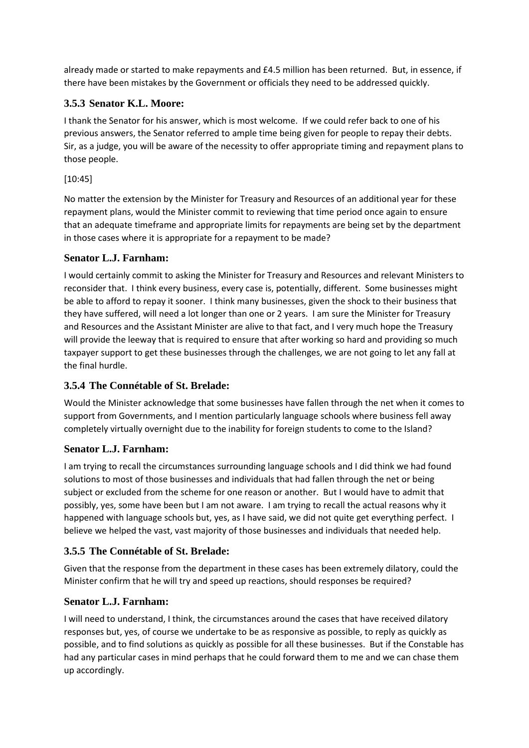already made or started to make repayments and £4.5 million has been returned. But, in essence, if there have been mistakes by the Government or officials they need to be addressed quickly.

# **3.5.3 Senator K.L. Moore:**

I thank the Senator for his answer, which is most welcome. If we could refer back to one of his previous answers, the Senator referred to ample time being given for people to repay their debts. Sir, as a judge, you will be aware of the necessity to offer appropriate timing and repayment plans to those people.

#### [10:45]

No matter the extension by the Minister for Treasury and Resources of an additional year for these repayment plans, would the Minister commit to reviewing that time period once again to ensure that an adequate timeframe and appropriate limits for repayments are being set by the department in those cases where it is appropriate for a repayment to be made?

#### **Senator L.J. Farnham:**

I would certainly commit to asking the Minister for Treasury and Resources and relevant Ministers to reconsider that. I think every business, every case is, potentially, different. Some businesses might be able to afford to repay it sooner. I think many businesses, given the shock to their business that they have suffered, will need a lot longer than one or 2 years. I am sure the Minister for Treasury and Resources and the Assistant Minister are alive to that fact, and I very much hope the Treasury will provide the leeway that is required to ensure that after working so hard and providing so much taxpayer support to get these businesses through the challenges, we are not going to let any fall at the final hurdle.

#### **3.5.4 The Connétable of St. Brelade:**

Would the Minister acknowledge that some businesses have fallen through the net when it comes to support from Governments, and I mention particularly language schools where business fell away completely virtually overnight due to the inability for foreign students to come to the Island?

#### **Senator L.J. Farnham:**

I am trying to recall the circumstances surrounding language schools and I did think we had found solutions to most of those businesses and individuals that had fallen through the net or being subject or excluded from the scheme for one reason or another. But I would have to admit that possibly, yes, some have been but I am not aware. I am trying to recall the actual reasons why it happened with language schools but, yes, as I have said, we did not quite get everything perfect. I believe we helped the vast, vast majority of those businesses and individuals that needed help.

# **3.5.5 The Connétable of St. Brelade:**

Given that the response from the department in these cases has been extremely dilatory, could the Minister confirm that he will try and speed up reactions, should responses be required?

#### **Senator L.J. Farnham:**

I will need to understand, I think, the circumstances around the cases that have received dilatory responses but, yes, of course we undertake to be as responsive as possible, to reply as quickly as possible, and to find solutions as quickly as possible for all these businesses. But if the Constable has had any particular cases in mind perhaps that he could forward them to me and we can chase them up accordingly.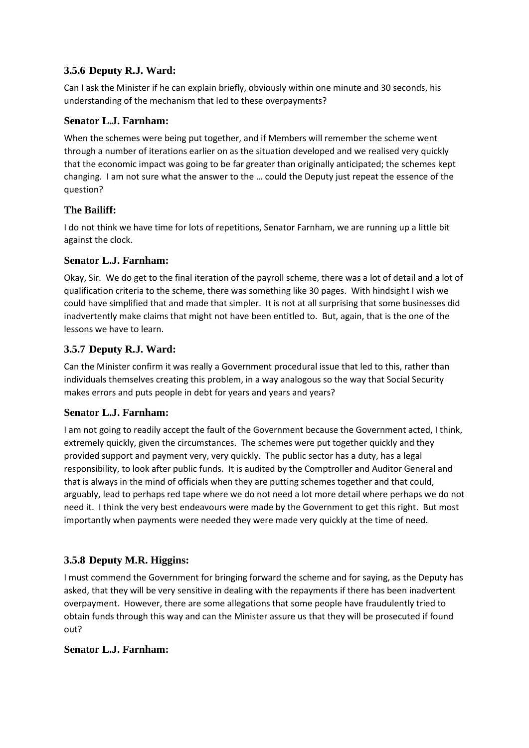# **3.5.6 Deputy R.J. Ward:**

Can I ask the Minister if he can explain briefly, obviously within one minute and 30 seconds, his understanding of the mechanism that led to these overpayments?

### **Senator L.J. Farnham:**

When the schemes were being put together, and if Members will remember the scheme went through a number of iterations earlier on as the situation developed and we realised very quickly that the economic impact was going to be far greater than originally anticipated; the schemes kept changing. I am not sure what the answer to the … could the Deputy just repeat the essence of the question?

# **The Bailiff:**

I do not think we have time for lots of repetitions, Senator Farnham, we are running up a little bit against the clock.

#### **Senator L.J. Farnham:**

Okay, Sir. We do get to the final iteration of the payroll scheme, there was a lot of detail and a lot of qualification criteria to the scheme, there was something like 30 pages. With hindsight I wish we could have simplified that and made that simpler. It is not at all surprising that some businesses did inadvertently make claims that might not have been entitled to. But, again, that is the one of the lessons we have to learn.

# **3.5.7 Deputy R.J. Ward:**

Can the Minister confirm it was really a Government procedural issue that led to this, rather than individuals themselves creating this problem, in a way analogous so the way that Social Security makes errors and puts people in debt for years and years and years?

#### **Senator L.J. Farnham:**

I am not going to readily accept the fault of the Government because the Government acted, I think, extremely quickly, given the circumstances. The schemes were put together quickly and they provided support and payment very, very quickly. The public sector has a duty, has a legal responsibility, to look after public funds. It is audited by the Comptroller and Auditor General and that is always in the mind of officials when they are putting schemes together and that could, arguably, lead to perhaps red tape where we do not need a lot more detail where perhaps we do not need it. I think the very best endeavours were made by the Government to get this right. But most importantly when payments were needed they were made very quickly at the time of need.

#### **3.5.8 Deputy M.R. Higgins:**

I must commend the Government for bringing forward the scheme and for saying, as the Deputy has asked, that they will be very sensitive in dealing with the repayments if there has been inadvertent overpayment. However, there are some allegations that some people have fraudulently tried to obtain funds through this way and can the Minister assure us that they will be prosecuted if found out?

#### **Senator L.J. Farnham:**